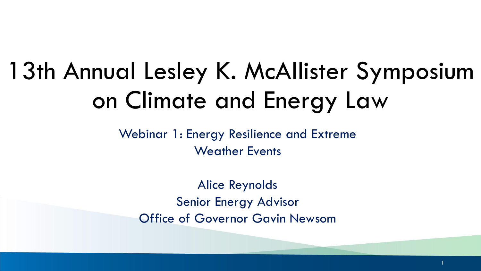# 13th Annual Lesley K. McAllister Symposium on Climate and Energy Law

Webinar 1: Energy Resilience and Extreme Weather Events

Alice Reynolds Senior Energy Advisor Office of Governor Gavin Newsom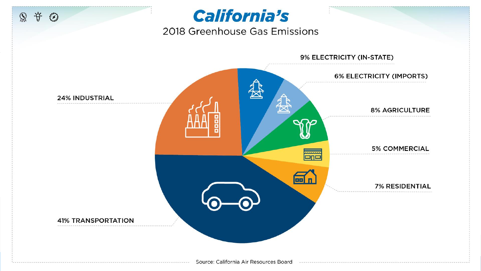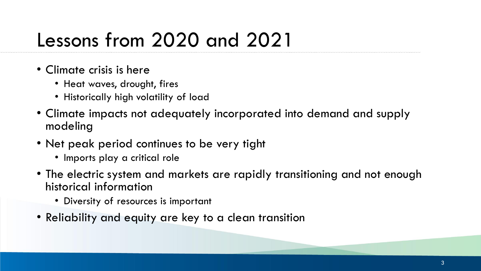### Lessons from 2020 and 2021

- Climate crisis is here
	- Heat waves, drought, fires
	- Historically high volatility of load
- Climate impacts not adequately incorporated into demand and supply modeling
- Net peak period continues to be very tight
	- Imports play a critical role
- The electric system and markets are rapidly transitioning and not enough historical information
	- Diversity of resources is important
- Reliability and equity are key to a clean transition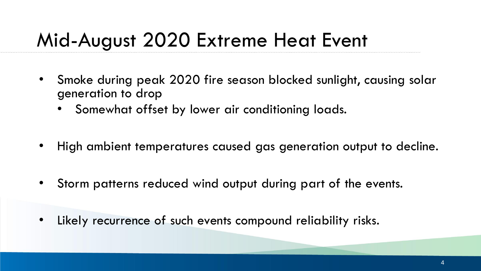### Mid-August 2020 Extreme Heat Event

- Smoke during peak 2020 fire season blocked sunlight, causing solar generation to drop
	- Somewhat offset by lower air conditioning loads.
- High ambient temperatures caused gas generation output to decline.
- Storm patterns reduced wind output during part of the events.
- Likely recurrence of such events compound reliability risks.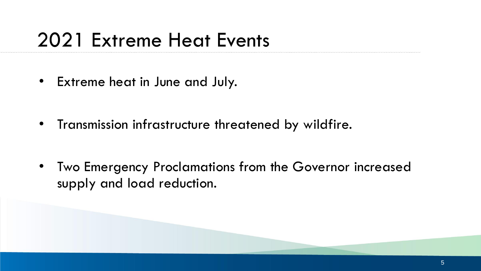### 2021 Extreme Heat Events

• Extreme heat in June and July.

• Transmission infrastructure threatened by wildfire.

• Two Emergency Proclamations from the Governor increased supply and load reduction.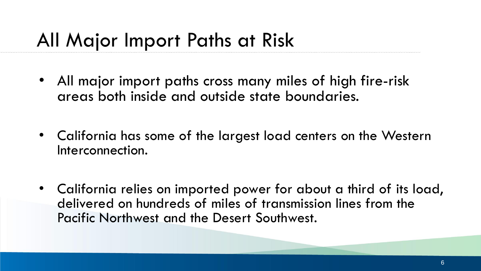#### All Major Import Paths at Risk

- All major import paths cross many miles of high fire-risk areas both inside and outside state boundaries.
- California has some of the largest load centers on the Western Interconnection.
- California relies on imported power for about a third of its load, delivered on hundreds of miles of transmission lines from the Pacific Northwest and the Desert Southwest.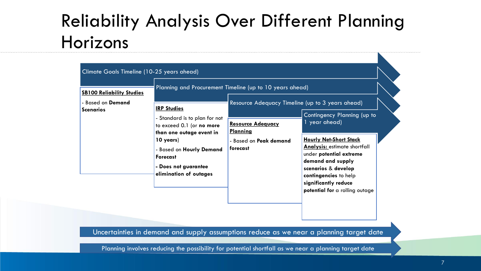#### Reliability Analysis Over Different Planning Horizons

| <b>SB100 Reliability Studies</b><br>- Based on Demand<br><b>Scenarios</b> | <b>IRP Studies</b><br>- Standard is to plan for not<br>to exceed 0.1 (or no more<br>than one outage event in<br>10 years)<br>- Based on Hourly Demand<br><b>Forecast</b><br>- Does not guarantee<br>elimination of outages | Planning and Procurement Timeline (up to 10 years ahead)<br>Resource Adequacy Timeline (up to 3 years ahead)<br><b>Resource Adequacy</b><br><b>Planning</b><br>- Based on <b>Peak demand</b><br>forecast | Contingency Planning (up to<br>1 year ahead)<br><b>Hourly Net-Short Stack</b><br><b>Analysis: estimate shortfall</b><br>under potential extreme<br>demand and supply<br>scenarios & develop<br>contingencies to help<br>significantly reduce<br>potential for a rolling outage |
|---------------------------------------------------------------------------|----------------------------------------------------------------------------------------------------------------------------------------------------------------------------------------------------------------------------|----------------------------------------------------------------------------------------------------------------------------------------------------------------------------------------------------------|--------------------------------------------------------------------------------------------------------------------------------------------------------------------------------------------------------------------------------------------------------------------------------|
|---------------------------------------------------------------------------|----------------------------------------------------------------------------------------------------------------------------------------------------------------------------------------------------------------------------|----------------------------------------------------------------------------------------------------------------------------------------------------------------------------------------------------------|--------------------------------------------------------------------------------------------------------------------------------------------------------------------------------------------------------------------------------------------------------------------------------|

Uncertainties in demand and supply assumptions reduce as we near a planning target date

Planning involves reducing the possibility for potential shortfall as we near a planning target date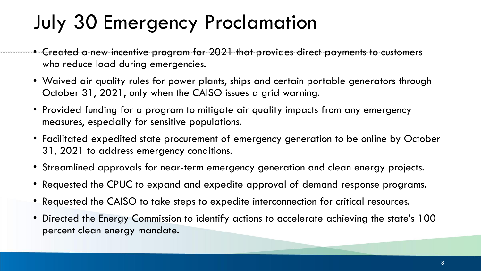### July 30 Emergency Proclamation

- $\bullet$  Created a new incentive program for 2021 that provides direct payments to customers who reduce load during emergencies.
- Waived air quality rules for power plants, ships and certain portable generators through October 31, 2021, only when the CAISO issues a grid warning.
- Provided funding for a program to mitigate air quality impacts from any emergency measures, especially for sensitive populations.
- Facilitated expedited state procurement of emergency generation to be online by October 31, 2021 to address emergency conditions.
- Streamlined approvals for near-term emergency generation and clean energy projects.
- Requested the CPUC to expand and expedite approval of demand response programs.
- Requested the CAISO to take steps to expedite interconnection for critical resources.
- Directed the Energy Commission to identify actions to accelerate achieving the state's 100 percent clean energy mandate.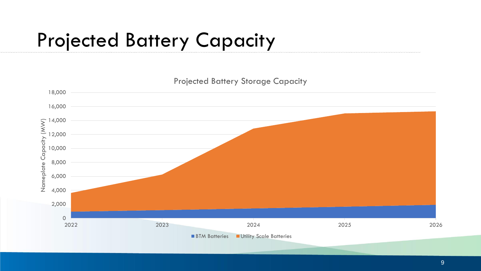### Projected Battery Capacity



9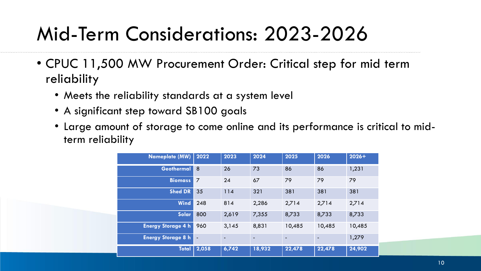### Mid-Term Considerations: 2023-2026

- CPUC 11,500 MW Procurement Order: Critical step for mid term reliability
	- Meets the reliability standards at a system level
	- A significant step toward SB100 goals
	- Large amount of storage to come online and its performance is critical to midterm reliability

| <b>Nameplate (MW)</b>     | 2022           | 2023                     | 2024           | 2025   | 2026   | $2026+$ |
|---------------------------|----------------|--------------------------|----------------|--------|--------|---------|
| Geothermal                | 8              | 26                       | 73             | 86     | 86     | 1,231   |
| <b>Biomass</b>            | 7              | 24                       | 67             | 79     | 79     | 79      |
| <b>Shed DR</b>            | 35             | 114                      | 321            | 381    | 381    | 381     |
| <b>Wind</b>               | 248            | 814                      | 2,286          | 2,714  | 2,714  | 2,714   |
| Solar                     | 800            | 2,619                    | 7,355          | 8,733  | 8,733  | 8,733   |
| <b>Energy Storage 4 h</b> | 960            | 3,145                    | 8,831          | 10,485 | 10,485 | 10,485  |
| <b>Energy Storage 8 h</b> | $\blacksquare$ | $\overline{\phantom{a}}$ | $\blacksquare$ |        |        | 1,279   |
| <b>Total</b>              | 2,058          | 6,742                    | 18,932         | 22,478 | 22,478 | 24,902  |